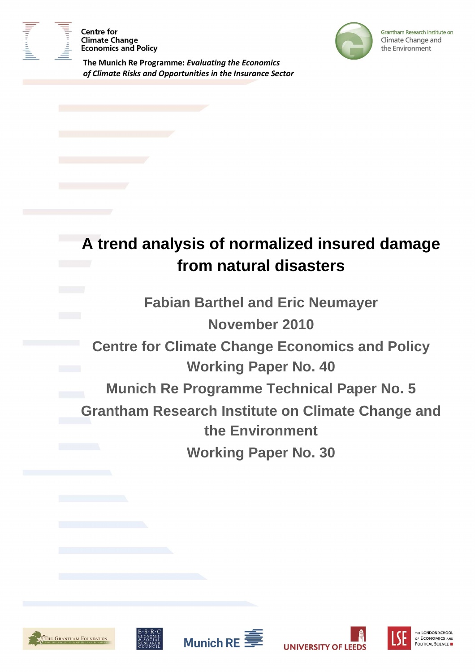

**Indone** 

**The Munich Re Programme:** *Evaluating the Economics of Climate Risks and Opportunities in the Insurance Sector* 



Grantham Research Institute on Climate Change and the Environment

# **A trend analysis of normalized insured damage from natural disasters**

# **Fabian Barthel and Eric Neumayer November 2010 Centre for Climate Change Economics and Policy Working Paper No. 40 Munich Re Programme Technical Paper No. 5 Grantham Research Institute on Climate Change and the Environment Working Paper No. 30**











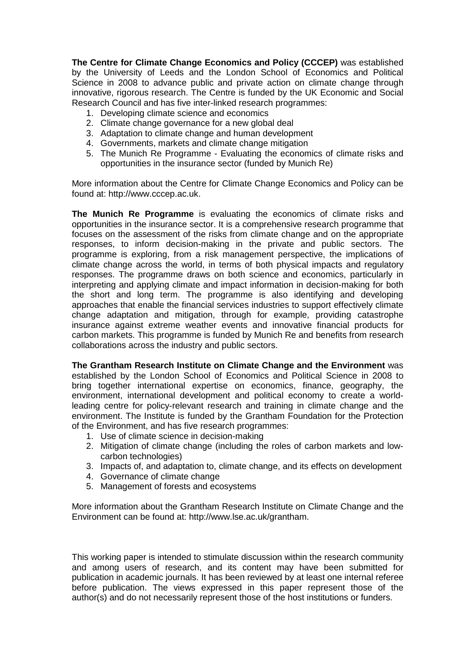**The Centre for Climate Change Economics and Policy (CCCEP)** was established by the University of Leeds and the London School of Economics and Political Science in 2008 to advance public and private action on climate change through innovative, rigorous research. The Centre is funded by the UK Economic and Social Research Council and has five inter-linked research programmes:

- 1. Developing climate science and economics
- 2. Climate change governance for a new global deal
- 3. Adaptation to climate change and human development
- 4. Governments, markets and climate change mitigation
- 5. The Munich Re Programme Evaluating the economics of climate risks and opportunities in the insurance sector (funded by Munich Re)

More information about the Centre for Climate Change Economics and Policy can be found at: http://www.cccep.ac.uk.

**The Munich Re Programme** is evaluating the economics of climate risks and opportunities in the insurance sector. It is a comprehensive research programme that focuses on the assessment of the risks from climate change and on the appropriate responses, to inform decision-making in the private and public sectors. The programme is exploring, from a risk management perspective, the implications of climate change across the world, in terms of both physical impacts and regulatory responses. The programme draws on both science and economics, particularly in interpreting and applying climate and impact information in decision-making for both the short and long term. The programme is also identifying and developing approaches that enable the financial services industries to support effectively climate change adaptation and mitigation, through for example, providing catastrophe insurance against extreme weather events and innovative financial products for carbon markets. This programme is funded by Munich Re and benefits from research collaborations across the industry and public sectors.

**The Grantham Research Institute on Climate Change and the Environment** was established by the London School of Economics and Political Science in 2008 to bring together international expertise on economics, finance, geography, the environment, international development and political economy to create a worldleading centre for policy-relevant research and training in climate change and the environment. The Institute is funded by the Grantham Foundation for the Protection of the Environment, and has five research programmes:

- 1. Use of climate science in decision-making
- 2. Mitigation of climate change (including the roles of carbon markets and lowcarbon technologies)
- 3. Impacts of, and adaptation to, climate change, and its effects on development
- 4. Governance of climate change
- 5. Management of forests and ecosystems

More information about the Grantham Research Institute on Climate Change and the Environment can be found at: http://www.lse.ac.uk/grantham.

This working paper is intended to stimulate discussion within the research community and among users of research, and its content may have been submitted for publication in academic journals. It has been reviewed by at least one internal referee before publication. The views expressed in this paper represent those of the author(s) and do not necessarily represent those of the host institutions or funders.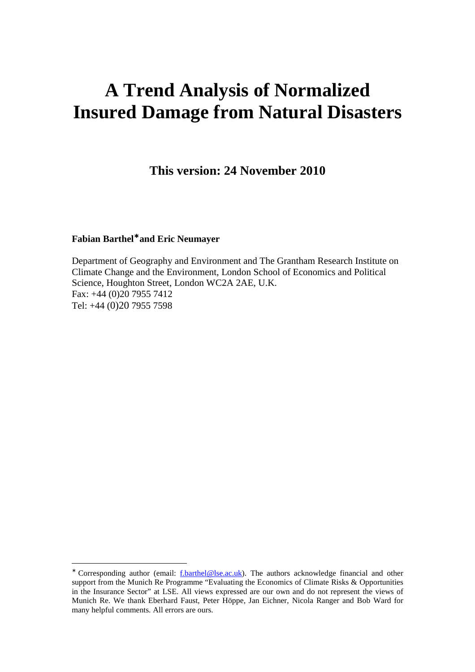# **A Trend Analysis of Normalized Insured Damage from Natural Disasters**

**This version: 24 November 2010** 

# **Fabian Barthel**<sup>∗</sup> **and Eric Neumayer**

 $\overline{a}$ 

Department of Geography and Environment and The Grantham Research Institute on Climate Change and the Environment, London School of Economics and Political Science, Houghton Street, London WC2A 2AE, U.K. Fax: +44 (0)20 7955 7412 Tel: +44 (0)20 7955 7598

<sup>∗</sup> Corresponding author (email: f.barthel@lse.ac.uk). The authors acknowledge financial and other support from the Munich Re Programme "Evaluating the Economics of Climate Risks & Opportunities in the Insurance Sector" at LSE. All views expressed are our own and do not represent the views of Munich Re. We thank Eberhard Faust, Peter Höppe, Jan Eichner, Nicola Ranger and Bob Ward for many helpful comments. All errors are ours.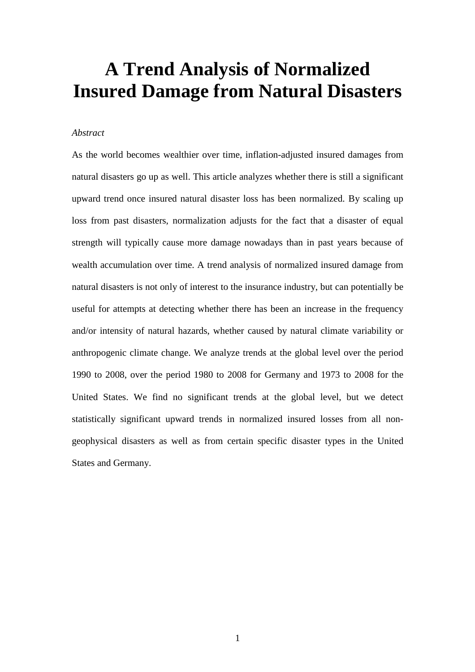# **A Trend Analysis of Normalized Insured Damage from Natural Disasters**

### *Abstract*

As the world becomes wealthier over time, inflation-adjusted insured damages from natural disasters go up as well. This article analyzes whether there is still a significant upward trend once insured natural disaster loss has been normalized. By scaling up loss from past disasters, normalization adjusts for the fact that a disaster of equal strength will typically cause more damage nowadays than in past years because of wealth accumulation over time. A trend analysis of normalized insured damage from natural disasters is not only of interest to the insurance industry, but can potentially be useful for attempts at detecting whether there has been an increase in the frequency and/or intensity of natural hazards, whether caused by natural climate variability or anthropogenic climate change. We analyze trends at the global level over the period 1990 to 2008, over the period 1980 to 2008 for Germany and 1973 to 2008 for the United States. We find no significant trends at the global level, but we detect statistically significant upward trends in normalized insured losses from all nongeophysical disasters as well as from certain specific disaster types in the United States and Germany.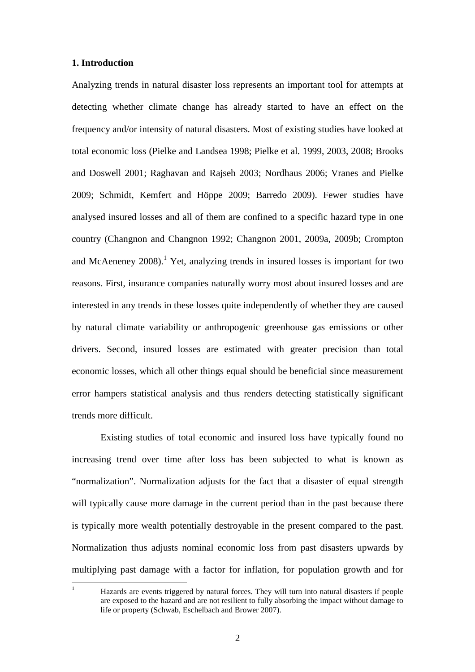## **1. Introduction**

Analyzing trends in natural disaster loss represents an important tool for attempts at detecting whether climate change has already started to have an effect on the frequency and/or intensity of natural disasters. Most of existing studies have looked at total economic loss (Pielke and Landsea 1998; Pielke et al. 1999, 2003, 2008; Brooks and Doswell 2001; Raghavan and Rajseh 2003; Nordhaus 2006; Vranes and Pielke 2009; Schmidt, Kemfert and Höppe 2009; Barredo 2009). Fewer studies have analysed insured losses and all of them are confined to a specific hazard type in one country (Changnon and Changnon 1992; Changnon 2001, 2009a, 2009b; Crompton and McAeneney 2008).<sup>1</sup> Yet, analyzing trends in insured losses is important for two reasons. First, insurance companies naturally worry most about insured losses and are interested in any trends in these losses quite independently of whether they are caused by natural climate variability or anthropogenic greenhouse gas emissions or other drivers. Second, insured losses are estimated with greater precision than total economic losses, which all other things equal should be beneficial since measurement error hampers statistical analysis and thus renders detecting statistically significant trends more difficult.

Existing studies of total economic and insured loss have typically found no increasing trend over time after loss has been subjected to what is known as "normalization". Normalization adjusts for the fact that a disaster of equal strength will typically cause more damage in the current period than in the past because there is typically more wealth potentially destroyable in the present compared to the past. Normalization thus adjusts nominal economic loss from past disasters upwards by multiplying past damage with a factor for inflation, for population growth and for

Hazards are events triggered by natural forces. They will turn into natural disasters if people are exposed to the hazard and are not resilient to fully absorbing the impact without damage to life or property (Schwab, Eschelbach and Brower 2007).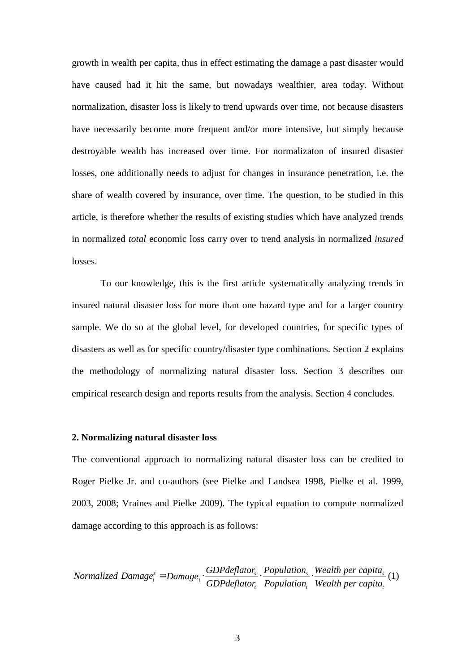growth in wealth per capita, thus in effect estimating the damage a past disaster would have caused had it hit the same, but nowadays wealthier, area today. Without normalization, disaster loss is likely to trend upwards over time, not because disasters have necessarily become more frequent and/or more intensive, but simply because destroyable wealth has increased over time. For normalizaton of insured disaster losses, one additionally needs to adjust for changes in insurance penetration, i.e. the share of wealth covered by insurance, over time. The question, to be studied in this article, is therefore whether the results of existing studies which have analyzed trends in normalized *total* economic loss carry over to trend analysis in normalized *insured* losses.

To our knowledge, this is the first article systematically analyzing trends in insured natural disaster loss for more than one hazard type and for a larger country sample. We do so at the global level, for developed countries, for specific types of disasters as well as for specific country/disaster type combinations. Section 2 explains the methodology of normalizing natural disaster loss. Section 3 describes our empirical research design and reports results from the analysis. Section 4 concludes.

#### **2. Normalizing natural disaster loss**

The conventional approach to normalizing natural disaster loss can be credited to Roger Pielke Jr. and co-authors (see Pielke and Landsea 1998, Pielke et al. 1999, 2003, 2008; Vraines and Pielke 2009). The typical equation to compute normalized damage according to this approach is as follows:

*Normalized Damage<sub>i</sub>* = *Damage<sub>i</sub>* 
$$
\cdot \frac{GDPdeflator_s}{GDPdeflator_t} \cdot \frac{Population_s}{Population_t} \cdot \frac{Weather}{Wedth per capita_s} (1)
$$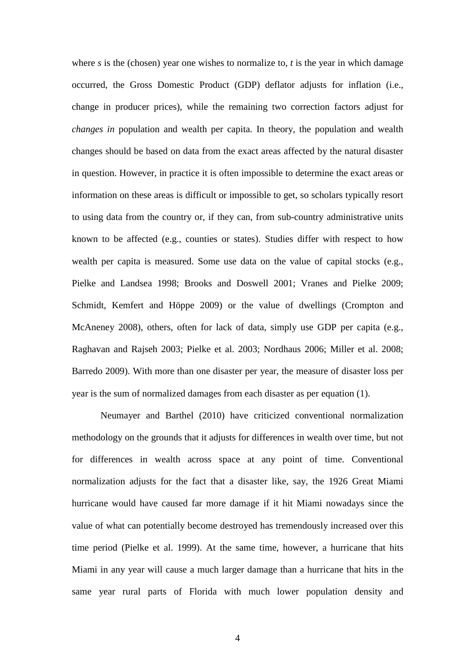where *s* is the (chosen) year one wishes to normalize to, *t* is the year in which damage occurred, the Gross Domestic Product (GDP) deflator adjusts for inflation (i.e., change in producer prices), while the remaining two correction factors adjust for *changes in* population and wealth per capita. In theory, the population and wealth changes should be based on data from the exact areas affected by the natural disaster in question. However, in practice it is often impossible to determine the exact areas or information on these areas is difficult or impossible to get, so scholars typically resort to using data from the country or, if they can, from sub-country administrative units known to be affected (e.g., counties or states). Studies differ with respect to how wealth per capita is measured. Some use data on the value of capital stocks (e.g., Pielke and Landsea 1998; Brooks and Doswell 2001; Vranes and Pielke 2009; Schmidt, Kemfert and Höppe 2009) or the value of dwellings (Crompton and McAneney 2008), others, often for lack of data, simply use GDP per capita (e.g., Raghavan and Rajseh 2003; Pielke et al. 2003; Nordhaus 2006; Miller et al. 2008; Barredo 2009). With more than one disaster per year, the measure of disaster loss per year is the sum of normalized damages from each disaster as per equation (1).

Neumayer and Barthel (2010) have criticized conventional normalization methodology on the grounds that it adjusts for differences in wealth over time, but not for differences in wealth across space at any point of time. Conventional normalization adjusts for the fact that a disaster like, say, the 1926 Great Miami hurricane would have caused far more damage if it hit Miami nowadays since the value of what can potentially become destroyed has tremendously increased over this time period (Pielke et al. 1999). At the same time, however, a hurricane that hits Miami in any year will cause a much larger damage than a hurricane that hits in the same year rural parts of Florida with much lower population density and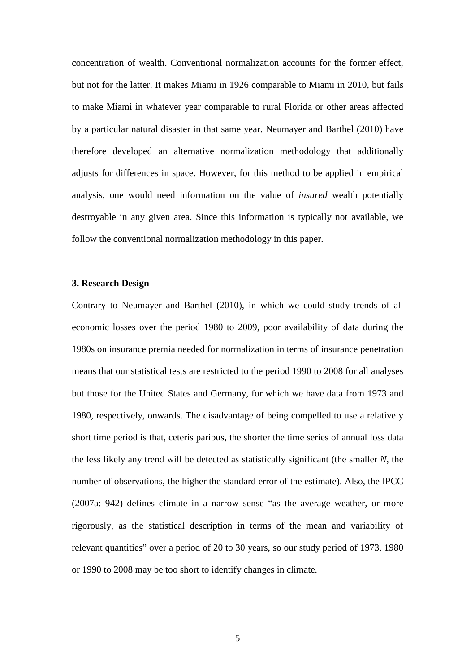concentration of wealth. Conventional normalization accounts for the former effect, but not for the latter. It makes Miami in 1926 comparable to Miami in 2010, but fails to make Miami in whatever year comparable to rural Florida or other areas affected by a particular natural disaster in that same year. Neumayer and Barthel (2010) have therefore developed an alternative normalization methodology that additionally adjusts for differences in space. However, for this method to be applied in empirical analysis, one would need information on the value of *insured* wealth potentially destroyable in any given area. Since this information is typically not available, we follow the conventional normalization methodology in this paper.

# **3. Research Design**

Contrary to Neumayer and Barthel (2010), in which we could study trends of all economic losses over the period 1980 to 2009, poor availability of data during the 1980s on insurance premia needed for normalization in terms of insurance penetration means that our statistical tests are restricted to the period 1990 to 2008 for all analyses but those for the United States and Germany, for which we have data from 1973 and 1980, respectively, onwards. The disadvantage of being compelled to use a relatively short time period is that, ceteris paribus, the shorter the time series of annual loss data the less likely any trend will be detected as statistically significant (the smaller *N*, the number of observations, the higher the standard error of the estimate). Also, the IPCC (2007a: 942) defines climate in a narrow sense "as the average weather, or more rigorously, as the statistical description in terms of the mean and variability of relevant quantities" over a period of 20 to 30 years, so our study period of 1973, 1980 or 1990 to 2008 may be too short to identify changes in climate.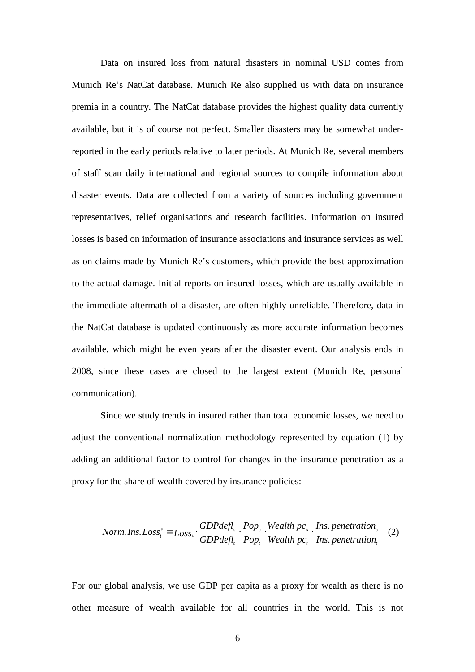Data on insured loss from natural disasters in nominal USD comes from Munich Re's NatCat database. Munich Re also supplied us with data on insurance premia in a country. The NatCat database provides the highest quality data currently available, but it is of course not perfect. Smaller disasters may be somewhat underreported in the early periods relative to later periods. At Munich Re, several members of staff scan daily international and regional sources to compile information about disaster events. Data are collected from a variety of sources including government representatives, relief organisations and research facilities. Information on insured losses is based on information of insurance associations and insurance services as well as on claims made by Munich Re's customers, which provide the best approximation to the actual damage. Initial reports on insured losses, which are usually available in the immediate aftermath of a disaster, are often highly unreliable. Therefore, data in the NatCat database is updated continuously as more accurate information becomes available, which might be even years after the disaster event. Our analysis ends in 2008, since these cases are closed to the largest extent (Munich Re, personal communication).

Since we study trends in insured rather than total economic losses, we need to adjust the conventional normalization methodology represented by equation (1) by adding an additional factor to control for changes in the insurance penetration as a proxy for the share of wealth covered by insurance policies:

*Norm. Ins. Loss*<sub>t</sub><sup>*s*</sup> = 
$$
Loss_t \cdot \frac{GDPdefl_s}{GDPdefl_t} \cdot \frac{Pop_s}{Pop_t} \cdot \frac{Weather_{cs}}{Weakpcc_s} \cdot \frac{Ins. penetration_s}{Ins. penetration_t}
$$
 (2)

For our global analysis, we use GDP per capita as a proxy for wealth as there is no other measure of wealth available for all countries in the world. This is not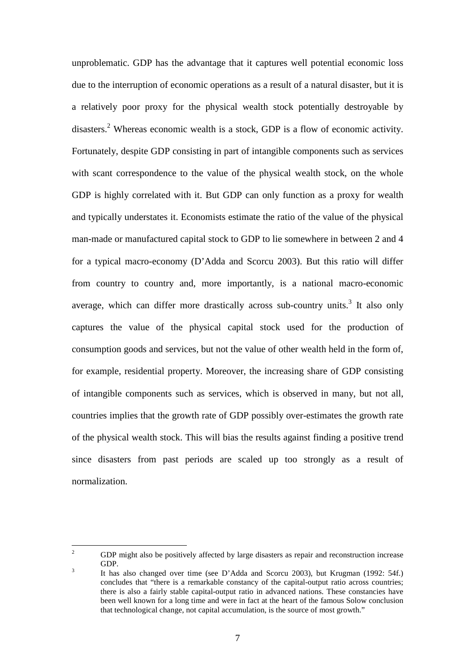unproblematic. GDP has the advantage that it captures well potential economic loss due to the interruption of economic operations as a result of a natural disaster, but it is a relatively poor proxy for the physical wealth stock potentially destroyable by disasters.<sup>2</sup> Whereas economic wealth is a stock, GDP is a flow of economic activity. Fortunately, despite GDP consisting in part of intangible components such as services with scant correspondence to the value of the physical wealth stock, on the whole GDP is highly correlated with it. But GDP can only function as a proxy for wealth and typically understates it. Economists estimate the ratio of the value of the physical man-made or manufactured capital stock to GDP to lie somewhere in between 2 and 4 for a typical macro-economy (D'Adda and Scorcu 2003). But this ratio will differ from country to country and, more importantly, is a national macro-economic average, which can differ more drastically across sub-country units.<sup>3</sup> It also only captures the value of the physical capital stock used for the production of consumption goods and services, but not the value of other wealth held in the form of, for example, residential property. Moreover, the increasing share of GDP consisting of intangible components such as services, which is observed in many, but not all, countries implies that the growth rate of GDP possibly over-estimates the growth rate of the physical wealth stock. This will bias the results against finding a positive trend since disasters from past periods are scaled up too strongly as a result of normalization.

 $\frac{1}{2}$  GDP might also be positively affected by large disasters as repair and reconstruction increase GDP.

<sup>3</sup> It has also changed over time (see D'Adda and Scorcu 2003), but Krugman (1992: 54f.) concludes that "there is a remarkable constancy of the capital-output ratio across countries; there is also a fairly stable capital-output ratio in advanced nations. These constancies have been well known for a long time and were in fact at the heart of the famous Solow conclusion that technological change, not capital accumulation, is the source of most growth."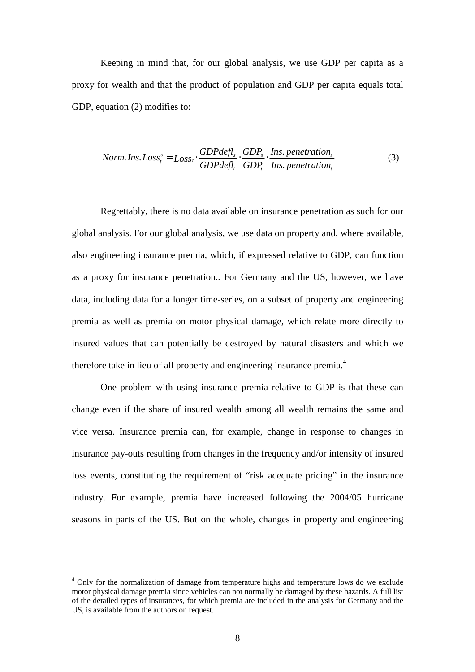Keeping in mind that, for our global analysis, we use GDP per capita as a proxy for wealth and that the product of population and GDP per capita equals total GDP, equation (2) modifies to:

*Norm. Ins. Loss*<sub>r</sub><sup>s</sup> = 
$$
Loss_t \cdot \frac{GDPdefl_s}{GDPdefl_t} \cdot \frac{GDP_s}{GDP_t} \cdot \frac{Ins. penetration_s}{Ins. penetration_t}
$$
 (3)

Regrettably, there is no data available on insurance penetration as such for our global analysis. For our global analysis, we use data on property and, where available, also engineering insurance premia, which, if expressed relative to GDP, can function as a proxy for insurance penetration.. For Germany and the US, however, we have data, including data for a longer time-series, on a subset of property and engineering premia as well as premia on motor physical damage, which relate more directly to insured values that can potentially be destroyed by natural disasters and which we therefore take in lieu of all property and engineering insurance premia.<sup>4</sup>

 One problem with using insurance premia relative to GDP is that these can change even if the share of insured wealth among all wealth remains the same and vice versa. Insurance premia can, for example, change in response to changes in insurance pay-outs resulting from changes in the frequency and/or intensity of insured loss events, constituting the requirement of "risk adequate pricing" in the insurance industry. For example, premia have increased following the 2004/05 hurricane seasons in parts of the US. But on the whole, changes in property and engineering

<sup>&</sup>lt;sup>4</sup> Only for the normalization of damage from temperature highs and temperature lows do we exclude motor physical damage premia since vehicles can not normally be damaged by these hazards. A full list of the detailed types of insurances, for which premia are included in the analysis for Germany and the US, is available from the authors on request.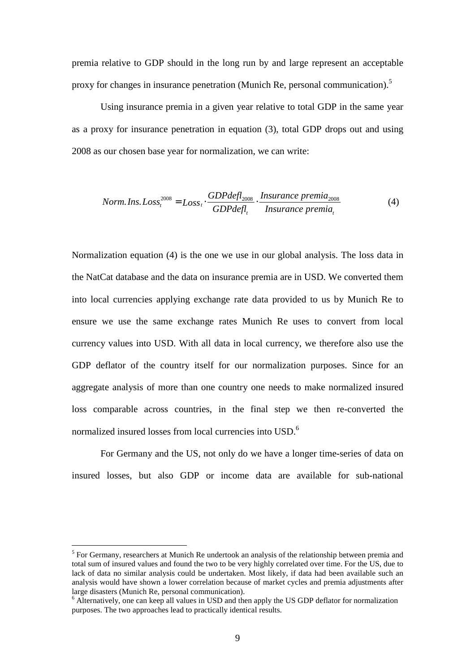premia relative to GDP should in the long run by and large represent an acceptable proxy for changes in insurance penetration (Munich Re, personal communication).<sup>5</sup>

Using insurance premia in a given year relative to total GDP in the same year as a proxy for insurance penetration in equation (3), total GDP drops out and using 2008 as our chosen base year for normalization, we can write:

*Norm. Ins. Loss*<sub>t</sub><sup>2008</sup> = 
$$
Loss_t \cdot \frac{GDPdefl_{2008}}{GDPdefl_t} \cdot \frac{Insurance premia_{2008}}{Insurance premia_t}
$$
 (4)

Normalization equation (4) is the one we use in our global analysis. The loss data in the NatCat database and the data on insurance premia are in USD. We converted them into local currencies applying exchange rate data provided to us by Munich Re to ensure we use the same exchange rates Munich Re uses to convert from local currency values into USD. With all data in local currency, we therefore also use the GDP deflator of the country itself for our normalization purposes. Since for an aggregate analysis of more than one country one needs to make normalized insured loss comparable across countries, in the final step we then re-converted the normalized insured losses from local currencies into USD.<sup>6</sup>

For Germany and the US, not only do we have a longer time-series of data on insured losses, but also GDP or income data are available for sub-national

<sup>&</sup>lt;sup>5</sup> For Germany, researchers at Munich Re undertook an analysis of the relationship between premia and total sum of insured values and found the two to be very highly correlated over time. For the US, due to lack of data no similar analysis could be undertaken. Most likely, if data had been available such an analysis would have shown a lower correlation because of market cycles and premia adjustments after large disasters (Munich Re, personal communication).

<sup>&</sup>lt;sup>6</sup> Alternatively, one can keep all values in USD and then apply the US GDP deflator for normalization purposes. The two approaches lead to practically identical results.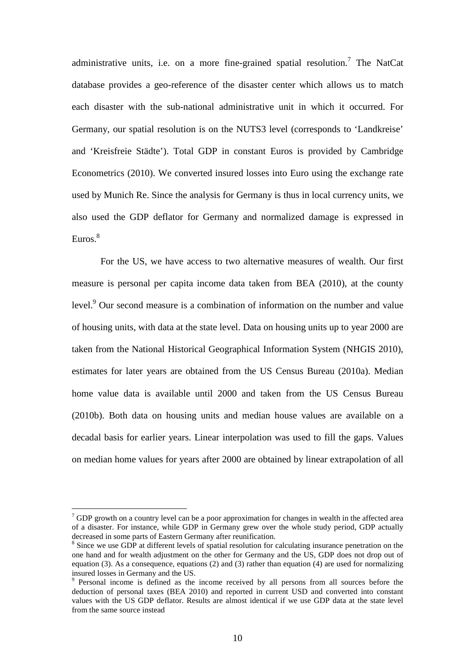administrative units, i.e. on a more fine-grained spatial resolution.<sup>7</sup> The NatCat database provides a geo-reference of the disaster center which allows us to match each disaster with the sub-national administrative unit in which it occurred. For Germany, our spatial resolution is on the NUTS3 level (corresponds to 'Landkreise' and 'Kreisfreie Städte'). Total GDP in constant Euros is provided by Cambridge Econometrics (2010). We converted insured losses into Euro using the exchange rate used by Munich Re. Since the analysis for Germany is thus in local currency units, we also used the GDP deflator for Germany and normalized damage is expressed in  $Euros.<sup>8</sup>$ 

For the US, we have access to two alternative measures of wealth. Our first measure is personal per capita income data taken from BEA (2010), at the county level.<sup>9</sup> Our second measure is a combination of information on the number and value of housing units, with data at the state level. Data on housing units up to year 2000 are taken from the National Historical Geographical Information System (NHGIS 2010), estimates for later years are obtained from the US Census Bureau (2010a). Median home value data is available until 2000 and taken from the US Census Bureau (2010b). Both data on housing units and median house values are available on a decadal basis for earlier years. Linear interpolation was used to fill the gaps. Values on median home values for years after 2000 are obtained by linear extrapolation of all

 $7$  GDP growth on a country level can be a poor approximation for changes in wealth in the affected area of a disaster. For instance, while GDP in Germany grew over the whole study period, GDP actually decreased in some parts of Eastern Germany after reunification.

<sup>&</sup>lt;sup>8</sup> Since we use GDP at different levels of spatial resolution for calculating insurance penetration on the one hand and for wealth adjustment on the other for Germany and the US, GDP does not drop out of equation (3). As a consequence, equations (2) and (3) rather than equation (4) are used for normalizing insured losses in Germany and the US.

<sup>&</sup>lt;sup>9</sup> Personal income is defined as the income received by all persons from all sources before the deduction of personal taxes (BEA 2010) and reported in current USD and converted into constant values with the US GDP deflator. Results are almost identical if we use GDP data at the state level from the same source instead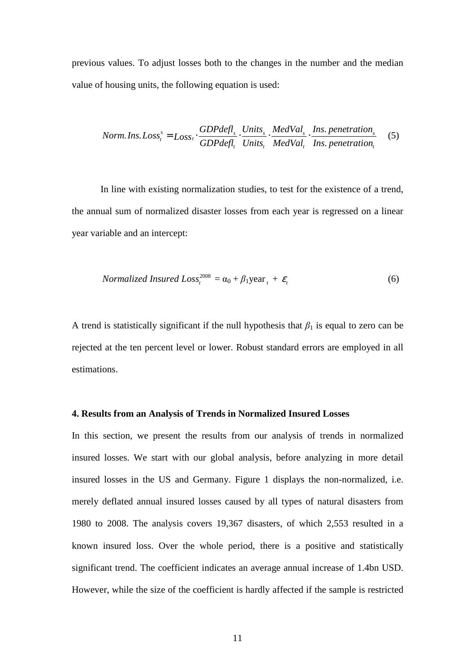previous values. To adjust losses both to the changes in the number and the median value of housing units, the following equation is used:

*Norm. Ins. Loss*<sub>*t*</sub><sup>*s*</sup> = 
$$
Loss_t \cdot \frac{GDPdefl_s}{GDPdefl_t} \cdot \frac{Units_s}{Units_t} \cdot \frac{MedVal_s}{MedVal_t} \cdot \frac{Ins. penetration_s}{Ins. penetration_t}
$$
 (5)

In line with existing normalization studies, to test for the existence of a trend, the annual sum of normalized disaster losses from each year is regressed on a linear year variable and an intercept:

*Normalized Insured Loss*<sub>t</sub><sup>2008</sup> = 
$$
\alpha_0 + \beta_1
$$
year<sub>t</sub> +  $\varepsilon_t$  (6)

A trend is statistically significant if the null hypothesis that  $\beta_1$  is equal to zero can be rejected at the ten percent level or lower. Robust standard errors are employed in all estimations.

#### **4. Results from an Analysis of Trends in Normalized Insured Losses**

In this section, we present the results from our analysis of trends in normalized insured losses. We start with our global analysis, before analyzing in more detail insured losses in the US and Germany. Figure 1 displays the non-normalized, i.e. merely deflated annual insured losses caused by all types of natural disasters from 1980 to 2008. The analysis covers 19,367 disasters, of which 2,553 resulted in a known insured loss. Over the whole period, there is a positive and statistically significant trend. The coefficient indicates an average annual increase of 1.4bn USD. However, while the size of the coefficient is hardly affected if the sample is restricted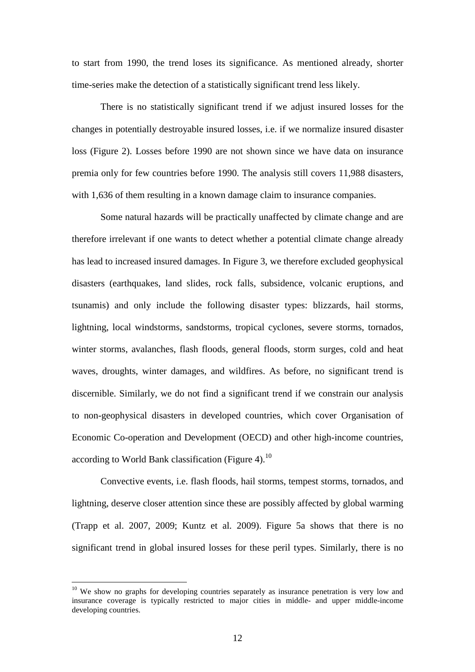to start from 1990, the trend loses its significance. As mentioned already, shorter time-series make the detection of a statistically significant trend less likely.

There is no statistically significant trend if we adjust insured losses for the changes in potentially destroyable insured losses, i.e. if we normalize insured disaster loss (Figure 2). Losses before 1990 are not shown since we have data on insurance premia only for few countries before 1990. The analysis still covers 11,988 disasters, with 1,636 of them resulting in a known damage claim to insurance companies.

Some natural hazards will be practically unaffected by climate change and are therefore irrelevant if one wants to detect whether a potential climate change already has lead to increased insured damages. In Figure 3, we therefore excluded geophysical disasters (earthquakes, land slides, rock falls, subsidence, volcanic eruptions, and tsunamis) and only include the following disaster types: blizzards, hail storms, lightning, local windstorms, sandstorms, tropical cyclones, severe storms, tornados, winter storms, avalanches, flash floods, general floods, storm surges, cold and heat waves, droughts, winter damages, and wildfires. As before, no significant trend is discernible. Similarly, we do not find a significant trend if we constrain our analysis to non-geophysical disasters in developed countries, which cover Organisation of Economic Co-operation and Development (OECD) and other high-income countries, according to World Bank classification (Figure 4).<sup>10</sup>

Convective events, i.e. flash floods, hail storms, tempest storms, tornados, and lightning, deserve closer attention since these are possibly affected by global warming (Trapp et al. 2007, 2009; Kuntz et al. 2009). Figure 5a shows that there is no significant trend in global insured losses for these peril types. Similarly, there is no

 $10$  We show no graphs for developing countries separately as insurance penetration is very low and insurance coverage is typically restricted to major cities in middle- and upper middle-income developing countries.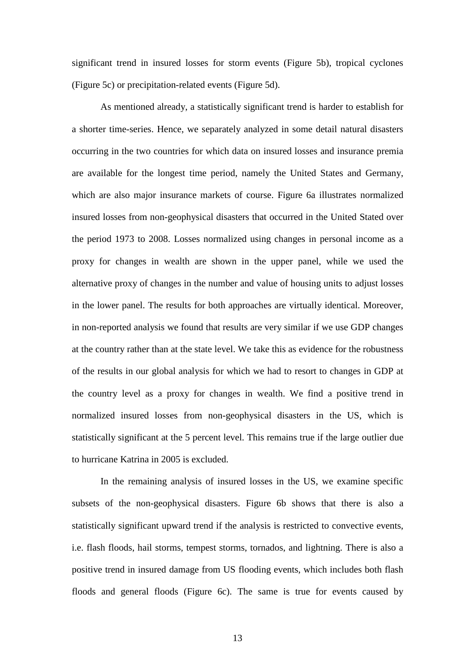significant trend in insured losses for storm events (Figure 5b), tropical cyclones (Figure 5c) or precipitation-related events (Figure 5d).

As mentioned already, a statistically significant trend is harder to establish for a shorter time-series. Hence, we separately analyzed in some detail natural disasters occurring in the two countries for which data on insured losses and insurance premia are available for the longest time period, namely the United States and Germany, which are also major insurance markets of course. Figure 6a illustrates normalized insured losses from non-geophysical disasters that occurred in the United Stated over the period 1973 to 2008. Losses normalized using changes in personal income as a proxy for changes in wealth are shown in the upper panel, while we used the alternative proxy of changes in the number and value of housing units to adjust losses in the lower panel. The results for both approaches are virtually identical. Moreover, in non-reported analysis we found that results are very similar if we use GDP changes at the country rather than at the state level. We take this as evidence for the robustness of the results in our global analysis for which we had to resort to changes in GDP at the country level as a proxy for changes in wealth. We find a positive trend in normalized insured losses from non-geophysical disasters in the US, which is statistically significant at the 5 percent level. This remains true if the large outlier due to hurricane Katrina in 2005 is excluded.

In the remaining analysis of insured losses in the US, we examine specific subsets of the non-geophysical disasters. Figure 6b shows that there is also a statistically significant upward trend if the analysis is restricted to convective events, i.e. flash floods, hail storms, tempest storms, tornados, and lightning. There is also a positive trend in insured damage from US flooding events, which includes both flash floods and general floods (Figure 6c). The same is true for events caused by

13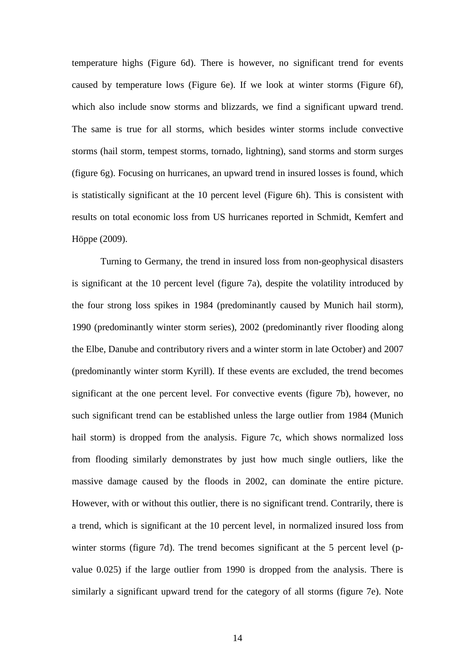temperature highs (Figure 6d). There is however, no significant trend for events caused by temperature lows (Figure 6e). If we look at winter storms (Figure 6f), which also include snow storms and blizzards, we find a significant upward trend. The same is true for all storms, which besides winter storms include convective storms (hail storm, tempest storms, tornado, lightning), sand storms and storm surges (figure 6g). Focusing on hurricanes, an upward trend in insured losses is found, which is statistically significant at the 10 percent level (Figure 6h). This is consistent with results on total economic loss from US hurricanes reported in Schmidt, Kemfert and Höppe (2009).

Turning to Germany, the trend in insured loss from non-geophysical disasters is significant at the 10 percent level (figure 7a), despite the volatility introduced by the four strong loss spikes in 1984 (predominantly caused by Munich hail storm), 1990 (predominantly winter storm series), 2002 (predominantly river flooding along the Elbe, Danube and contributory rivers and a winter storm in late October) and 2007 (predominantly winter storm Kyrill). If these events are excluded, the trend becomes significant at the one percent level. For convective events (figure 7b), however, no such significant trend can be established unless the large outlier from 1984 (Munich hail storm) is dropped from the analysis. Figure 7c, which shows normalized loss from flooding similarly demonstrates by just how much single outliers, like the massive damage caused by the floods in 2002, can dominate the entire picture. However, with or without this outlier, there is no significant trend. Contrarily, there is a trend, which is significant at the 10 percent level, in normalized insured loss from winter storms (figure 7d). The trend becomes significant at the 5 percent level (pvalue 0.025) if the large outlier from 1990 is dropped from the analysis. There is similarly a significant upward trend for the category of all storms (figure 7e). Note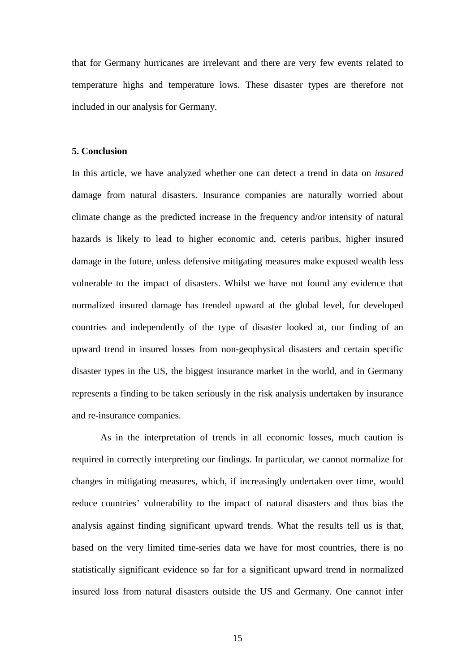that for Germany hurricanes are irrelevant and there are very few events related to temperature highs and temperature lows. These disaster types are therefore not included in our analysis for Germany.

### **5. Conclusion**

In this article, we have analyzed whether one can detect a trend in data on *insured* damage from natural disasters. Insurance companies are naturally worried about climate change as the predicted increase in the frequency and/or intensity of natural hazards is likely to lead to higher economic and, ceteris paribus, higher insured damage in the future, unless defensive mitigating measures make exposed wealth less vulnerable to the impact of disasters. Whilst we have not found any evidence that normalized insured damage has trended upward at the global level, for developed countries and independently of the type of disaster looked at, our finding of an upward trend in insured losses from non-geophysical disasters and certain specific disaster types in the US, the biggest insurance market in the world, and in Germany represents a finding to be taken seriously in the risk analysis undertaken by insurance and re-insurance companies.

As in the interpretation of trends in all economic losses, much caution is required in correctly interpreting our findings. In particular, we cannot normalize for changes in mitigating measures, which, if increasingly undertaken over time, would reduce countries' vulnerability to the impact of natural disasters and thus bias the analysis against finding significant upward trends. What the results tell us is that, based on the very limited time-series data we have for most countries, there is no statistically significant evidence so far for a significant upward trend in normalized insured loss from natural disasters outside the US and Germany. One cannot infer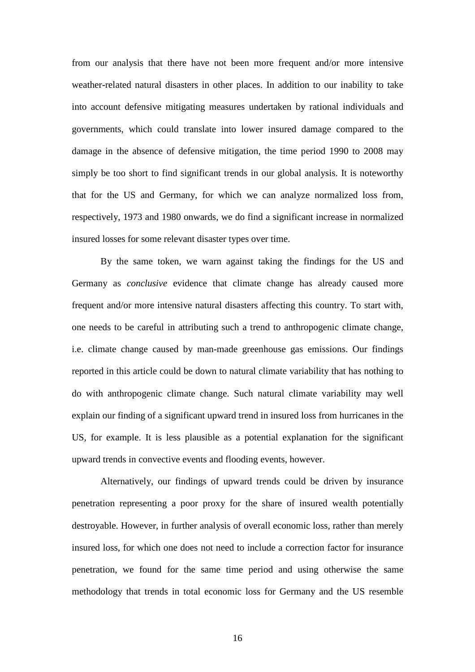from our analysis that there have not been more frequent and/or more intensive weather-related natural disasters in other places. In addition to our inability to take into account defensive mitigating measures undertaken by rational individuals and governments, which could translate into lower insured damage compared to the damage in the absence of defensive mitigation, the time period 1990 to 2008 may simply be too short to find significant trends in our global analysis. It is noteworthy that for the US and Germany, for which we can analyze normalized loss from, respectively, 1973 and 1980 onwards, we do find a significant increase in normalized insured losses for some relevant disaster types over time.

By the same token, we warn against taking the findings for the US and Germany as *conclusive* evidence that climate change has already caused more frequent and/or more intensive natural disasters affecting this country. To start with, one needs to be careful in attributing such a trend to anthropogenic climate change, i.e. climate change caused by man-made greenhouse gas emissions. Our findings reported in this article could be down to natural climate variability that has nothing to do with anthropogenic climate change. Such natural climate variability may well explain our finding of a significant upward trend in insured loss from hurricanes in the US, for example. It is less plausible as a potential explanation for the significant upward trends in convective events and flooding events, however.

Alternatively, our findings of upward trends could be driven by insurance penetration representing a poor proxy for the share of insured wealth potentially destroyable. However, in further analysis of overall economic loss, rather than merely insured loss, for which one does not need to include a correction factor for insurance penetration, we found for the same time period and using otherwise the same methodology that trends in total economic loss for Germany and the US resemble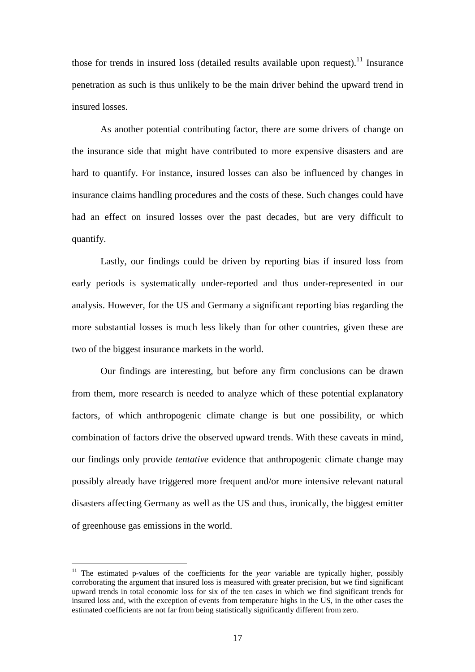those for trends in insured loss (detailed results available upon request).<sup>11</sup> Insurance penetration as such is thus unlikely to be the main driver behind the upward trend in insured losses.

As another potential contributing factor, there are some drivers of change on the insurance side that might have contributed to more expensive disasters and are hard to quantify. For instance, insured losses can also be influenced by changes in insurance claims handling procedures and the costs of these. Such changes could have had an effect on insured losses over the past decades, but are very difficult to quantify.

Lastly, our findings could be driven by reporting bias if insured loss from early periods is systematically under-reported and thus under-represented in our analysis. However, for the US and Germany a significant reporting bias regarding the more substantial losses is much less likely than for other countries, given these are two of the biggest insurance markets in the world.

Our findings are interesting, but before any firm conclusions can be drawn from them, more research is needed to analyze which of these potential explanatory factors, of which anthropogenic climate change is but one possibility, or which combination of factors drive the observed upward trends. With these caveats in mind, our findings only provide *tentative* evidence that anthropogenic climate change may possibly already have triggered more frequent and/or more intensive relevant natural disasters affecting Germany as well as the US and thus, ironically, the biggest emitter of greenhouse gas emissions in the world.

<sup>&</sup>lt;sup>11</sup> The estimated p-values of the coefficients for the *year* variable are typically higher, possibly corroborating the argument that insured loss is measured with greater precision, but we find significant upward trends in total economic loss for six of the ten cases in which we find significant trends for insured loss and, with the exception of events from temperature highs in the US, in the other cases the estimated coefficients are not far from being statistically significantly different from zero.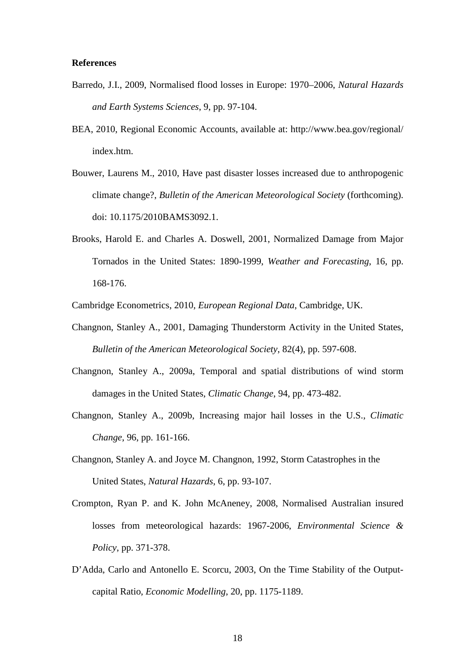### **References**

- Barredo, J.I., 2009, Normalised flood losses in Europe: 1970–2006, *Natural Hazards and Earth Systems Sciences*, 9, pp. 97-104.
- BEA, 2010, Regional Economic Accounts, available at: http://www.bea.gov/regional/ index.htm.
- Bouwer, Laurens M., 2010, Have past disaster losses increased due to anthropogenic climate change?, *Bulletin of the American Meteorological Society* (forthcoming). doi: 10.1175/2010BAMS3092.1.
- Brooks, Harold E. and Charles A. Doswell, 2001, Normalized Damage from Major Tornados in the United States: 1890-1999, *Weather and Forecasting*, 16, pp. 168-176.
- Cambridge Econometrics, 2010, *European Regional Data*, Cambridge, UK.
- Changnon, Stanley A., 2001, Damaging Thunderstorm Activity in the United States, *Bulletin of the American Meteorological Society*, 82(4), pp. 597-608.
- Changnon, Stanley A., 2009a, Temporal and spatial distributions of wind storm damages in the United States, *Climatic Change*, 94, pp. 473-482.
- Changnon, Stanley A., 2009b, Increasing major hail losses in the U.S., *Climatic Change*, 96, pp. 161-166.
- Changnon, Stanley A. and Joyce M. Changnon, 1992, Storm Catastrophes in the United States, *Natural Hazards*, 6, pp. 93-107.
- Crompton, Ryan P. and K. John McAneney, 2008, Normalised Australian insured losses from meteorological hazards: 1967-2006, *Environmental Science & Policy*, pp. 371-378.
- D'Adda, Carlo and Antonello E. Scorcu, 2003, On the Time Stability of the Outputcapital Ratio, *Economic Modelling*, 20, pp. 1175-1189.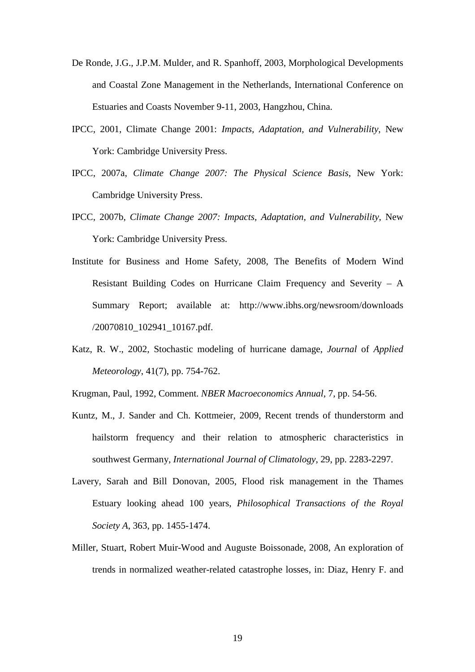- De Ronde, J.G., J.P.M. Mulder, and R. Spanhoff, 2003, Morphological Developments and Coastal Zone Management in the Netherlands, International Conference on Estuaries and Coasts November 9-11, 2003, Hangzhou, China.
- IPCC, 2001, Climate Change 2001: *Impacts, Adaptation, and Vulnerability*, New York: Cambridge University Press.
- IPCC, 2007a, *Climate Change 2007: The Physical Science Basis*, New York: Cambridge University Press.
- IPCC, 2007b, *Climate Change 2007: Impacts, Adaptation, and Vulnerability*, New York: Cambridge University Press.
- Institute for Business and Home Safety, 2008, The Benefits of Modern Wind Resistant Building Codes on Hurricane Claim Frequency and Severity – A Summary Report; available at: http://www.ibhs.org/newsroom/downloads /20070810\_102941\_10167.pdf.
- Katz, R. W., 2002, Stochastic modeling of hurricane damage, *Journal* of *Applied Meteorology*, 41(7), pp. 754-762.
- Krugman, Paul, 1992, Comment. *NBER Macroeconomics Annual*, 7, pp. 54-56.
- Kuntz, M., J. Sander and Ch. Kottmeier, 2009, Recent trends of thunderstorm and hailstorm frequency and their relation to atmospheric characteristics in southwest Germany, *International Journal of Climatology*, 29, pp. 2283-2297.
- Lavery, Sarah and Bill Donovan, 2005, Flood risk management in the Thames Estuary looking ahead 100 years, *Philosophical Transactions of the Royal Society A*, 363, pp. 1455-1474.
- Miller, Stuart, Robert Muir-Wood and Auguste Boissonade, 2008, An exploration of trends in normalized weather-related catastrophe losses, in: Diaz, Henry F. and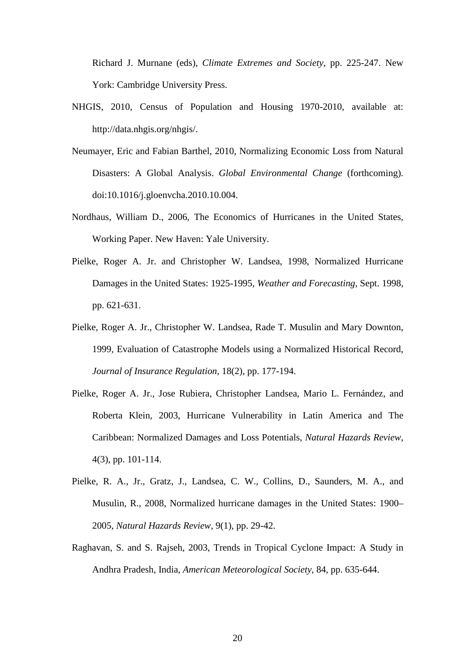Richard J. Murnane (eds), *Climate Extremes and Society*, pp. 225-247. New York: Cambridge University Press.

- NHGIS, 2010, Census of Population and Housing 1970-2010, available at: http://data.nhgis.org/nhgis/.
- Neumayer, Eric and Fabian Barthel, 2010, Normalizing Economic Loss from Natural Disasters: A Global Analysis. *Global Environmental Change* (forthcoming). doi:10.1016/j.gloenvcha.2010.10.004.
- Nordhaus, William D., 2006, The Economics of Hurricanes in the United States, Working Paper. New Haven: Yale University.
- Pielke, Roger A. Jr. and Christopher W. Landsea, 1998, Normalized Hurricane Damages in the United States: 1925-1995, *Weather and Forecasting*, Sept. 1998, pp. 621-631.
- Pielke, Roger A. Jr., Christopher W. Landsea, Rade T. Musulin and Mary Downton, 1999, Evaluation of Catastrophe Models using a Normalized Historical Record, *Journal of Insurance Regulation*, 18(2), pp. 177-194.
- Pielke, Roger A. Jr., Jose Rubiera, Christopher Landsea, Mario L. Fernández, and Roberta Klein, 2003, Hurricane Vulnerability in Latin America and The Caribbean: Normalized Damages and Loss Potentials, *Natural Hazards Review*, 4(3), pp. 101-114.
- Pielke, R. A., Jr., Gratz, J., Landsea, C. W., Collins, D., Saunders, M. A., and Musulin, R., 2008, Normalized hurricane damages in the United States: 1900– 2005, *Natural Hazards Review*, 9(1), pp. 29-42.
- Raghavan, S. and S. Rajseh, 2003, Trends in Tropical Cyclone Impact: A Study in Andhra Pradesh, India, *American Meteorological Society*, 84, pp. 635-644.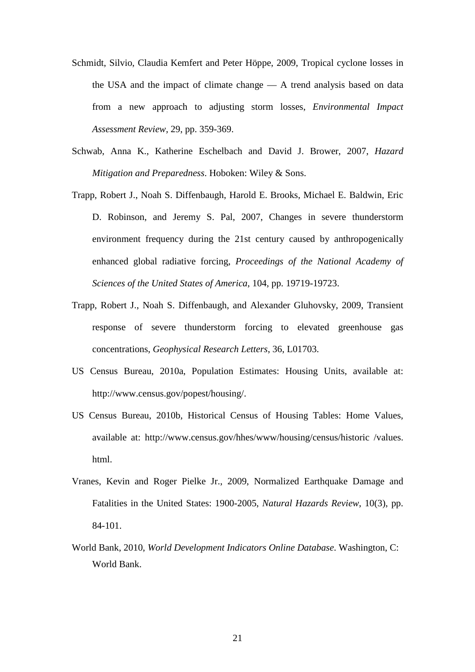- Schmidt, Silvio, Claudia Kemfert and Peter Höppe, 2009, Tropical cyclone losses in the USA and the impact of climate change — A trend analysis based on data from a new approach to adjusting storm losses, *Environmental Impact Assessment Review*, 29, pp. 359-369.
- Schwab, Anna K., Katherine Eschelbach and David J. Brower, 2007, *Hazard Mitigation and Preparedness*. Hoboken: Wiley & Sons.
- Trapp, Robert J., Noah S. Diffenbaugh, Harold E. Brooks, Michael E. Baldwin, Eric D. Robinson, and Jeremy S. Pal, 2007, Changes in severe thunderstorm environment frequency during the 21st century caused by anthropogenically enhanced global radiative forcing, *Proceedings of the National Academy of Sciences of the United States of America*, 104, pp. 19719-19723.
- Trapp, Robert J., Noah S. Diffenbaugh, and Alexander Gluhovsky, 2009, Transient response of severe thunderstorm forcing to elevated greenhouse gas concentrations, *Geophysical Research Letters*, 36, L01703.
- US Census Bureau, 2010a, Population Estimates: Housing Units, available at: http://www.census.gov/popest/housing/.
- US Census Bureau, 2010b, Historical Census of Housing Tables: Home Values, available at: http://www.census.gov/hhes/www/housing/census/historic /values. html.
- Vranes, Kevin and Roger Pielke Jr., 2009, Normalized Earthquake Damage and Fatalities in the United States: 1900-2005, *Natural Hazards Review*, 10(3), pp. 84-101.
- World Bank, 2010, *World Development Indicators Online Database*. Washington, C: World Bank.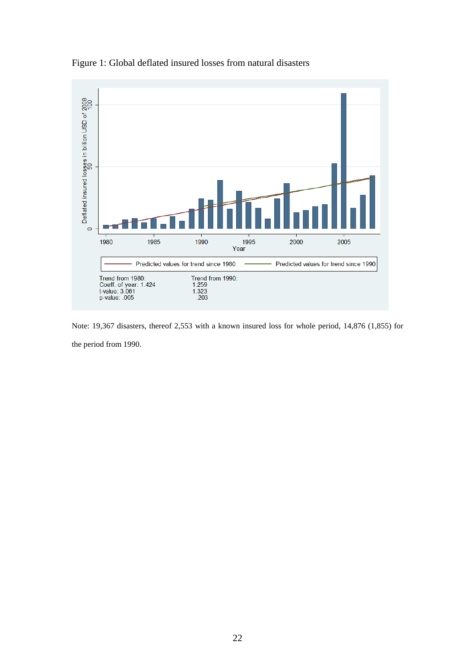

Figure 1: Global deflated insured losses from natural disasters

Note: 19,367 disasters, thereof 2,553 with a known insured loss for whole period, 14,876 (1,855) for the period from 1990.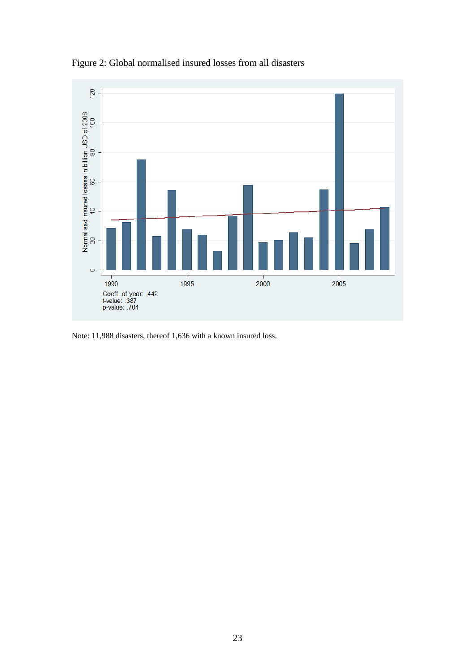

Figure 2: Global normalised insured losses from all disasters

Note: 11,988 disasters, thereof 1,636 with a known insured loss.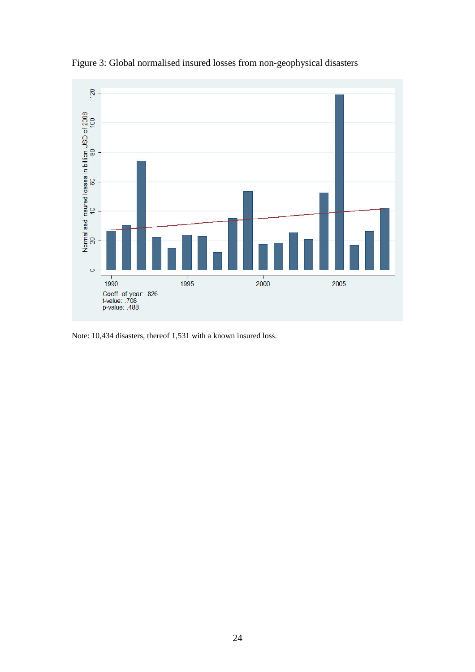

Figure 3: Global normalised insured losses from non-geophysical disasters

Note: 10,434 disasters, thereof 1,531 with a known insured loss.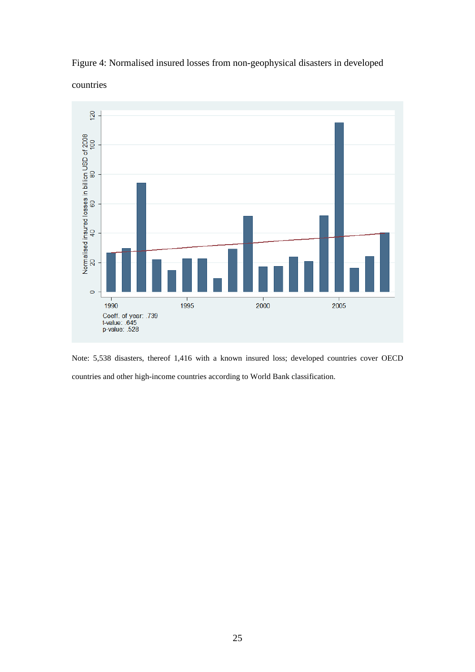Figure 4: Normalised insured losses from non-geophysical disasters in developed countries



Note: 5,538 disasters, thereof 1,416 with a known insured loss; developed countries cover OECD countries and other high-income countries according to World Bank classification.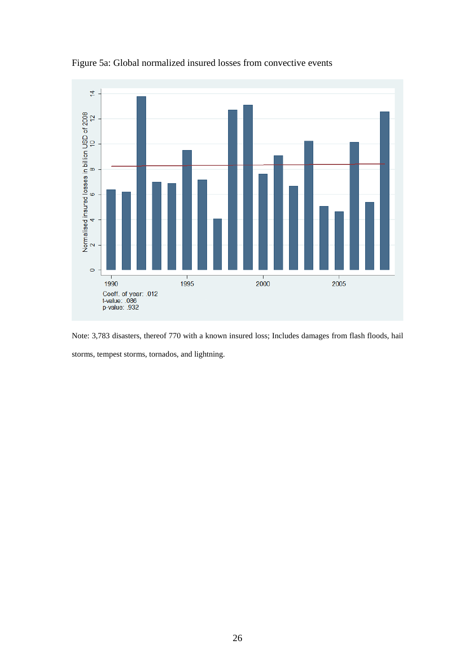

Figure 5a: Global normalized insured losses from convective events

Note: 3,783 disasters, thereof 770 with a known insured loss; Includes damages from flash floods, hail storms, tempest storms, tornados, and lightning.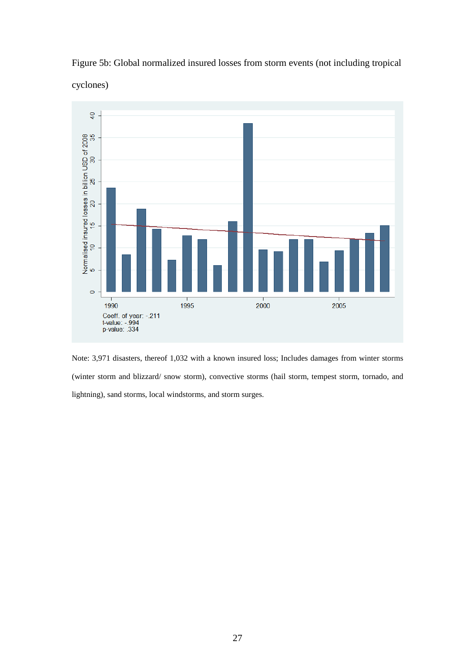Figure 5b: Global normalized insured losses from storm events (not including tropical cyclones)



Note: 3,971 disasters, thereof 1,032 with a known insured loss; Includes damages from winter storms (winter storm and blizzard/ snow storm), convective storms (hail storm, tempest storm, tornado, and lightning), sand storms, local windstorms, and storm surges.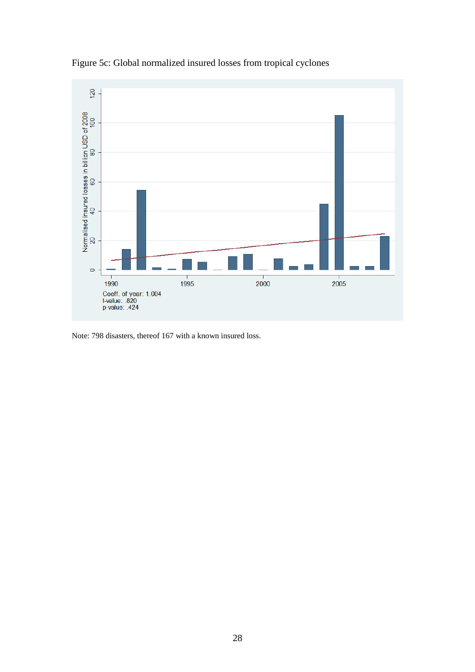

Figure 5c: Global normalized insured losses from tropical cyclones

Note: 798 disasters, thereof 167 with a known insured loss.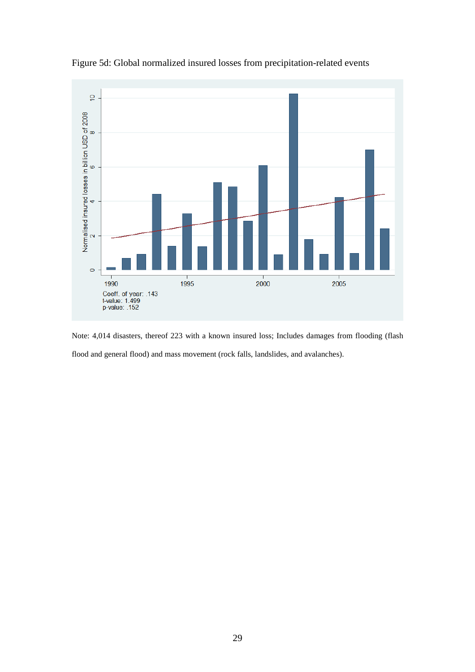

Figure 5d: Global normalized insured losses from precipitation-related events

Note: 4,014 disasters, thereof 223 with a known insured loss; Includes damages from flooding (flash flood and general flood) and mass movement (rock falls, landslides, and avalanches).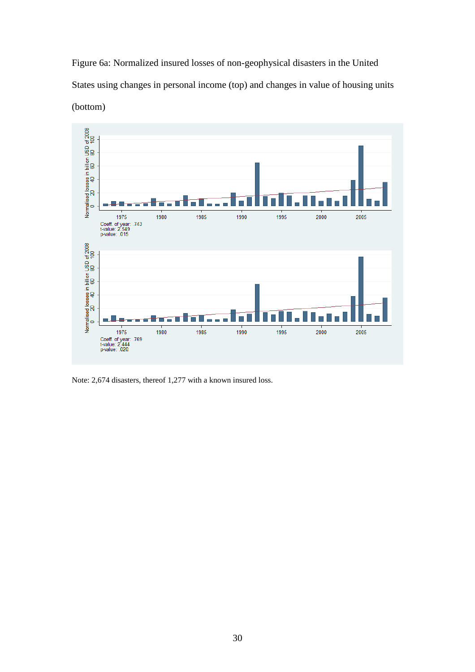Figure 6a: Normalized insured losses of non-geophysical disasters in the United States using changes in personal income (top) and changes in value of housing units (bottom)



Note: 2,674 disasters, thereof 1,277 with a known insured loss.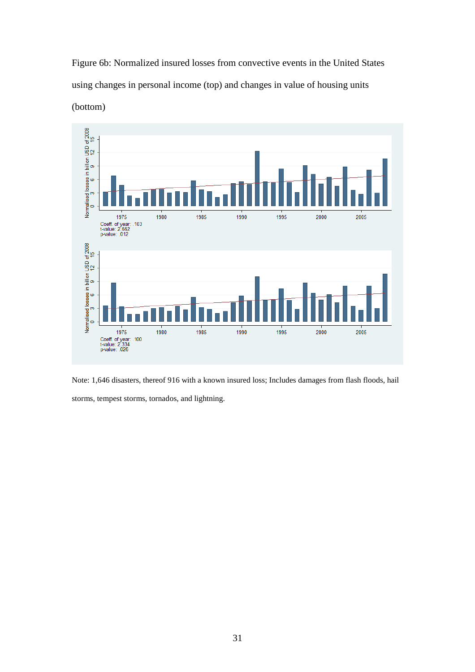Figure 6b: Normalized insured losses from convective events in the United States using changes in personal income (top) and changes in value of housing units



(bottom)

Note: 1,646 disasters, thereof 916 with a known insured loss; Includes damages from flash floods, hail storms, tempest storms, tornados, and lightning.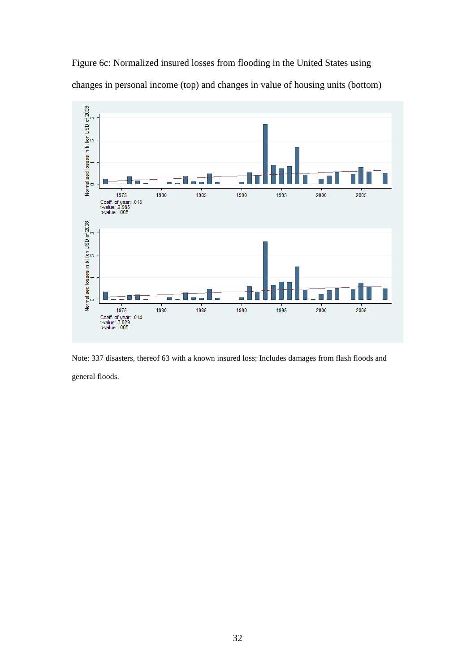

Figure 6c: Normalized insured losses from flooding in the United States using changes in personal income (top) and changes in value of housing units (bottom)

Note: 337 disasters, thereof 63 with a known insured loss; Includes damages from flash floods and general floods.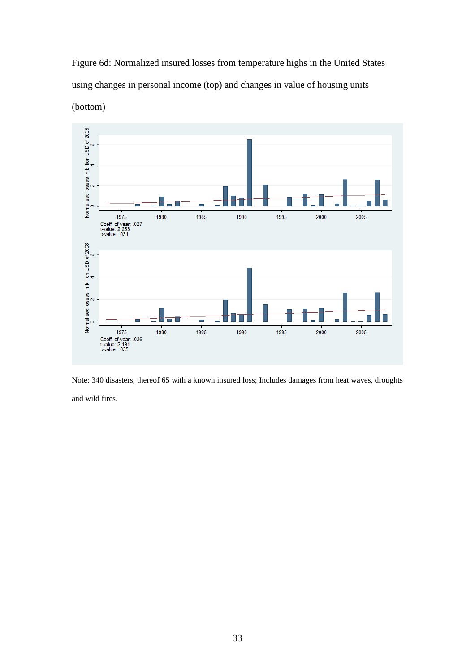Figure 6d: Normalized insured losses from temperature highs in the United States using changes in personal income (top) and changes in value of housing units



(bottom)

Note: 340 disasters, thereof 65 with a known insured loss; Includes damages from heat waves, droughts and wild fires.

33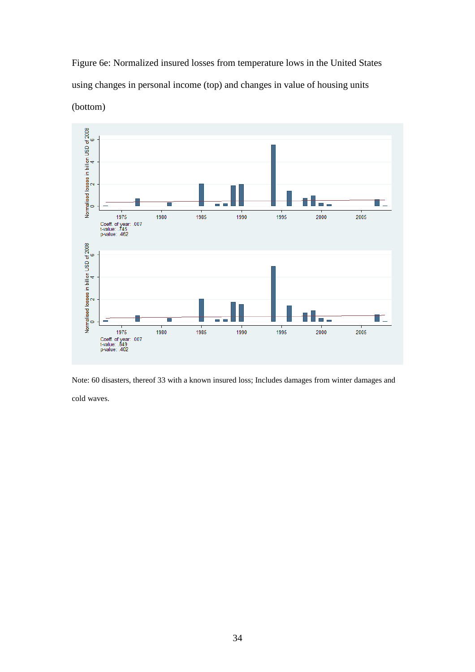Figure 6e: Normalized insured losses from temperature lows in the United States using changes in personal income (top) and changes in value of housing units (bottom)



Note: 60 disasters, thereof 33 with a known insured loss; Includes damages from winter damages and

cold waves.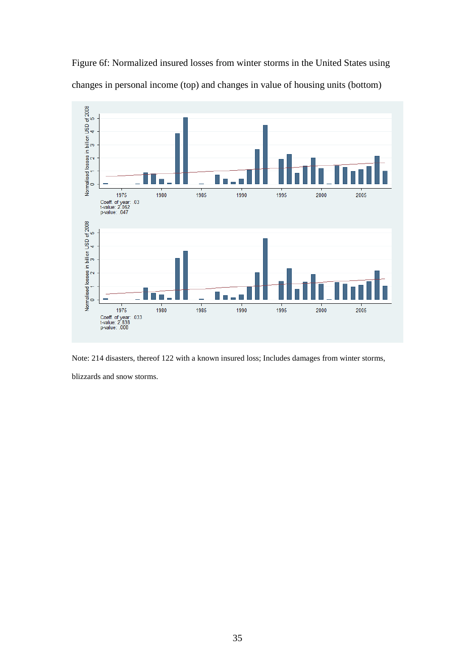

Figure 6f: Normalized insured losses from winter storms in the United States using changes in personal income (top) and changes in value of housing units (bottom)

Note: 214 disasters, thereof 122 with a known insured loss; Includes damages from winter storms, blizzards and snow storms.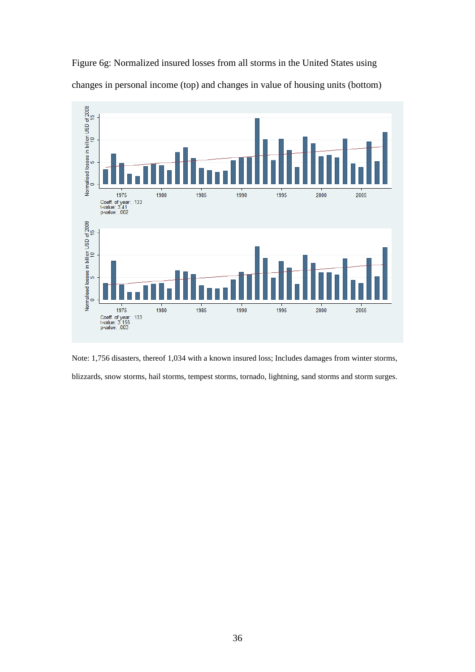

Figure 6g: Normalized insured losses from all storms in the United States using changes in personal income (top) and changes in value of housing units (bottom)

Note: 1,756 disasters, thereof 1,034 with a known insured loss; Includes damages from winter storms, blizzards, snow storms, hail storms, tempest storms, tornado, lightning, sand storms and storm surges.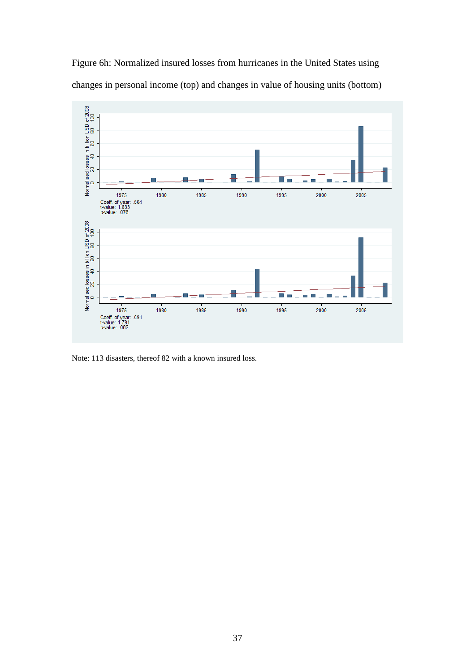Figure 6h: Normalized insured losses from hurricanes in the United States using changes in personal income (top) and changes in value of housing units (bottom)



Note: 113 disasters, thereof 82 with a known insured loss.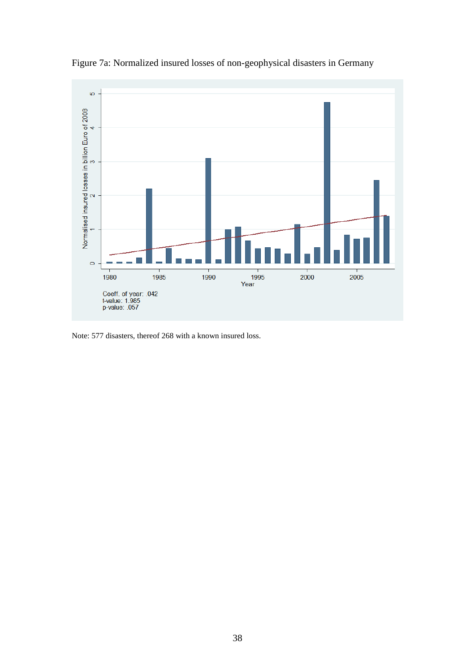

Figure 7a: Normalized insured losses of non-geophysical disasters in Germany

Note: 577 disasters, thereof 268 with a known insured loss.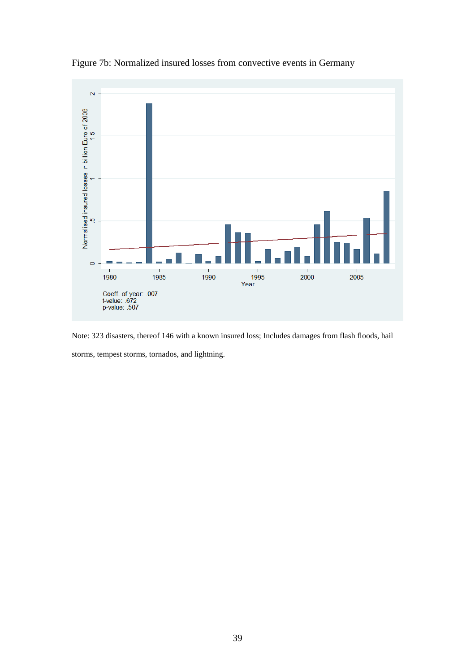

Figure 7b: Normalized insured losses from convective events in Germany

Note: 323 disasters, thereof 146 with a known insured loss; Includes damages from flash floods, hail storms, tempest storms, tornados, and lightning.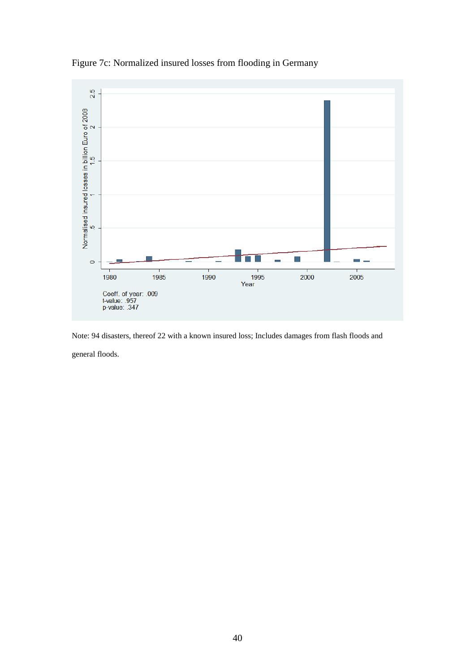



Note: 94 disasters, thereof 22 with a known insured loss; Includes damages from flash floods and

general floods.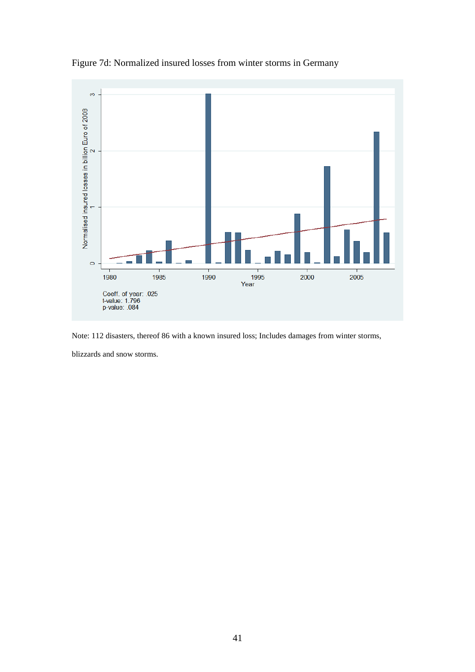

Figure 7d: Normalized insured losses from winter storms in Germany

Note: 112 disasters, thereof 86 with a known insured loss; Includes damages from winter storms,

blizzards and snow storms.